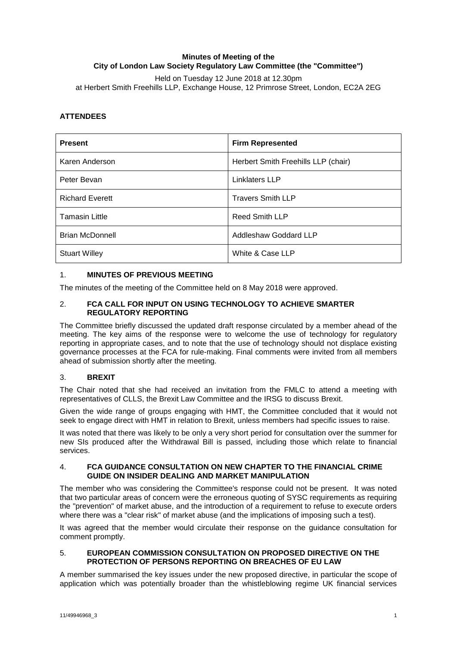## **Minutes of Meeting of the City of London Law Society Regulatory Law Committee (the "Committee")**

Held on Tuesday 12 June 2018 at 12.30pm at Herbert Smith Freehills LLP, Exchange House, 12 Primrose Street, London, EC2A 2EG

# **ATTENDEES**

| <b>Present</b>         | <b>Firm Represented</b>             |
|------------------------|-------------------------------------|
| Karen Anderson         | Herbert Smith Freehills LLP (chair) |
| Peter Bevan            | Linklaters LLP                      |
| <b>Richard Everett</b> | <b>Travers Smith LLP</b>            |
| <b>Tamasin Little</b>  | <b>Reed Smith LLP</b>               |
| <b>Brian McDonnell</b> | Addleshaw Goddard LLP               |
| <b>Stuart Willey</b>   | White & Case LLP                    |

## 1. **MINUTES OF PREVIOUS MEETING**

The minutes of the meeting of the Committee held on 8 May 2018 were approved.

### 2. **FCA CALL FOR INPUT ON USING TECHNOLOGY TO ACHIEVE SMARTER REGULATORY REPORTING**

The Committee briefly discussed the updated draft response circulated by a member ahead of the meeting. The key aims of the response were to welcome the use of technology for regulatory reporting in appropriate cases, and to note that the use of technology should not displace existing governance processes at the FCA for rule-making. Final comments were invited from all members ahead of submission shortly after the meeting.

## 3. **BREXIT**

The Chair noted that she had received an invitation from the FMLC to attend a meeting with representatives of CLLS, the Brexit Law Committee and the IRSG to discuss Brexit.

Given the wide range of groups engaging with HMT, the Committee concluded that it would not seek to engage direct with HMT in relation to Brexit, unless members had specific issues to raise.

It was noted that there was likely to be only a very short period for consultation over the summer for new SIs produced after the Withdrawal Bill is passed, including those which relate to financial services.

### 4. **FCA GUIDANCE CONSULTATION ON NEW CHAPTER TO THE FINANCIAL CRIME GUIDE ON INSIDER DEALING AND MARKET MANIPULATION**

The member who was considering the Committee's response could not be present. It was noted that two particular areas of concern were the erroneous quoting of SYSC requirements as requiring the "prevention" of market abuse, and the introduction of a requirement to refuse to execute orders where there was a "clear risk" of market abuse (and the implications of imposing such a test).

It was agreed that the member would circulate their response on the guidance consultation for comment promptly.

### 5. **EUROPEAN COMMISSION CONSULTATION ON PROPOSED DIRECTIVE ON THE PROTECTION OF PERSONS REPORTING ON BREACHES OF EU LAW**

A member summarised the key issues under the new proposed directive, in particular the scope of application which was potentially broader than the whistleblowing regime UK financial services